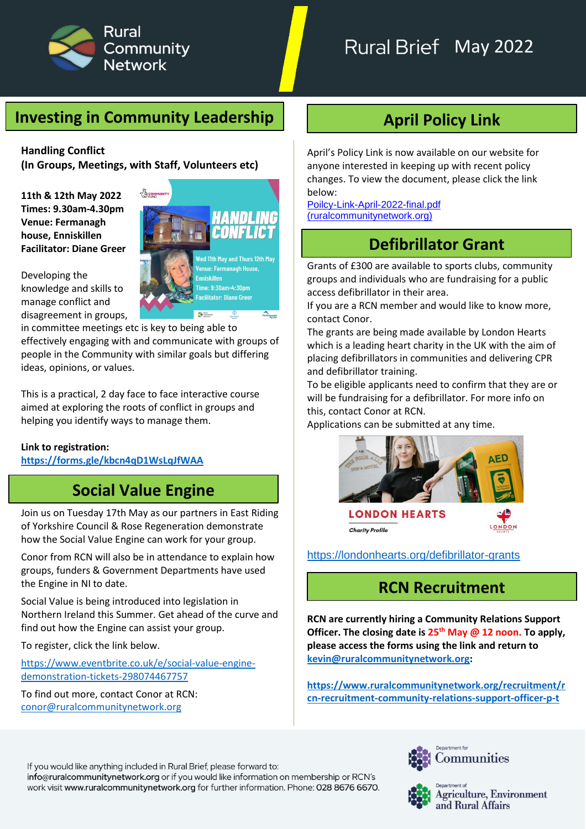

# Rural Brief May 2022

### **Investing in Community Leadership**

**Handling Conflict (In Groups, Meetings, with Staff, Volunteers etc)**

**11th & 12th May 2022 Times: 9.30am-4.30pm Venue: Fermanagh house, Enniskillen Facilitator: Diane Greer**

Developing the knowledge and skills to manage conflict and disagreement in groups,

in committee meetings etc is key to being able to effectively engaging with and communicate with groups of people in the Community with similar goals but differing ideas, opinions, or values.

This is a practical, 2 day face to face interactive course aimed at exploring the roots of conflict in groups and helping you identify ways to manage them.

#### **Link to registration:**

**<https://forms.gle/kbcn4qD1WsLqJfWAA>**

### **Social Value Engine**

Join us on Tuesday 17th May as our partners in East Riding of Yorkshire Council & Rose Regeneration demonstrate how the Social Value Engine can work for your group.

Conor from RCN will also be in attendance to explain how groups, funders & Government Departments have used the Engine in NI to date.

Social Value is being introduced into legislation in Northern Ireland this Summer. Get ahead of the curve and find out how the Engine can assist your group.

To register, click the link below.

[https://www.eventbrite.co.uk/e/social-value-engine](https://www.eventbrite.co.uk/e/social-value-engine-demonstration-tickets-298074467757)[demonstration-tickets-298074467757](https://www.eventbrite.co.uk/e/social-value-engine-demonstration-tickets-298074467757)

To find out more, contact Conor at RCN: [conor@ruralcommunitynetwork.org](mailto:conor@ruralcommunitynetwork.org)



# **April Policy Link**

April's Policy Link is now available on our website for anyone interested in keeping up with recent policy changes. To view the document, please click the link below:

[Poilcy-Link-April-2022-final.pdf](https://www.ruralcommunitynetwork.org/app/uploads/2022/04/Poilcy-Link-April-2022-final.pdf)  [\(ruralcommunitynetwork.org\)](https://www.ruralcommunitynetwork.org/app/uploads/2022/04/Poilcy-Link-April-2022-final.pdf)

### **Defibrillator Grant**

Grants of £300 are available to sports clubs, community groups and individuals who are fundraising for a public access defibrillator in their area.

If you are a RCN member and would like to know more, contact Conor.

The grants are being made available by London Hearts which is a leading heart charity in the UK with the aim of placing defibrillators in communities and delivering CPR and defibrillator training.

To be eligible applicants need to confirm that they are or will be fundraising for a defibrillator. For more info on this, contact Conor at RCN.

Applications can be submitted at any time.



[https://londonhearts.org/defibrillator-grants](https://l.facebook.com/l.php?u=https%3A%2F%2Flondonhearts.org%2Fdefibrillator-grants%3Ffbclid%3DIwAR311-DODkyXVXo3XNYyk4GcacJlNyOnLNj0PALEBTNujakUgPKMJ3zSTxM&h=AT2nflR2tyBsikVcLWiE-vfHPR2oun6LGHtgADsy_YcfFYU-OlW9NdFmdRFUJAkRuPzoYxjEv3exPHK1u2ezE0hNY1IEinSb-cT-noFUIRKnnHvZ175ZUfZRTUSP0pBcs53QdlM&__tn__=-UK*F&c%5b0%5d=AT1Pvp5-fl1qcKhklTjYMYEo7OuQS06XBbrIUwvG8AI4AQSutt-SPA9AmeulyO7TduDJKgAmdznfdKHKUp9MrpbM6OClBzjXfEgorb56COXfZW2emKO9dRpEwuDvJwHhxosPKQWQQC3znm-6C0DpIVihO30Je_2IUbqPqwX-_NsOKvTS5tBcq1ZDn1Mci6Jc4ukkBe2AuM6sdaO9-_9YfU5gObJJW5XFNSvdW5OHRf21SGbl7mWc9BaSnP9UePu2nFI)

#### **RCN Recruitment**

**RCN are currently hiring a Community Relations Support Officer. The closing date is 25th May @ 12 noon. To apply, please access the forms using the link and return to [kevin@ruralcommunitynetwork.org:](mailto:kevin@ruralcommunitynetwork.org)**

**[https://www.ruralcommunitynetwork.org/recruitment/r](https://www.ruralcommunitynetwork.org/recruitment/rcn-recruitment-community-relations-support-officer-p-t) [cn-recruitment-community-relations-support-officer-p-t](https://www.ruralcommunitynetwork.org/recruitment/rcn-recruitment-community-relations-support-officer-p-t)**

If you would like anything included in Rural Brief, please forward to: info@ruralcommunitynetwork.org or if you would like information on membership or RCN's work visit www.ruralcommunitynetwork.org for further information. Phone: 028 8676 6670.





Agriculture, Environment and Rural Affairs